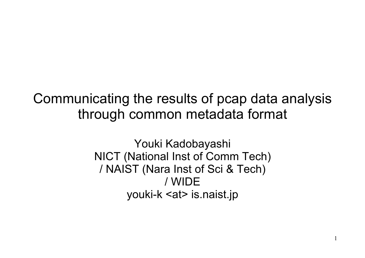#### Communicating the results of pcap data analysis through common metadata format

Youki Kadobayashi NICT (National Inst of Comm Tech) / NAIST (Nara Inst of Sci & Tech) / WIDE youki-k <at> is.naist.jp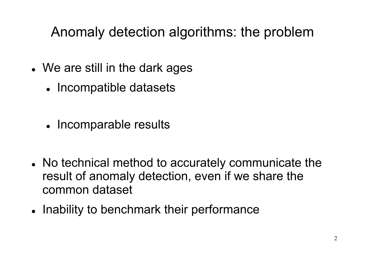### Anomaly detection algorithms: the problem

- We are still in the dark ages
	- Incompatible datasets
	- Incomparable results
- No technical method to accurately communicate the result of anomaly detection, even if we share the common dataset
- Inability to benchmark their performance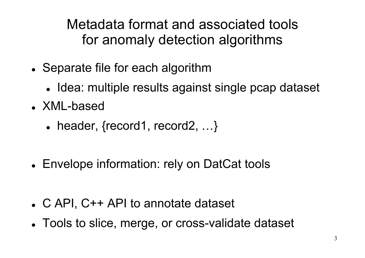Metadata format and associated tools for anomaly detection algorithms

- Separate file for each algorithm
	- Idea: multiple results against single pcap dataset
- XML-based
	- header, {record1, record2, ...}
- Envelope information: rely on DatCat tools
- C API, C++ API to annotate dataset
- Tools to slice, merge, or cross-validate dataset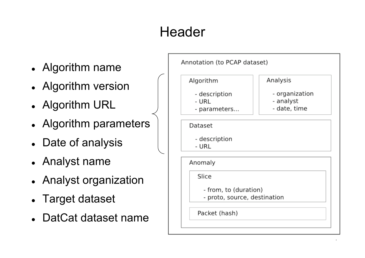## **Header**

- Algorithm name
- Algorithm version
- Algorithm URL
- Algorithm parameters
- Date of analysis
- Analyst name
- Analyst organization
- Target dataset
- DatCat dataset name

| Algorithm              | Analysis                     |
|------------------------|------------------------------|
| - description          | - organization               |
| - URL                  | - analyst                    |
| - parameters           | - date, time                 |
| Dataset                |                              |
|                        |                              |
| - description<br>- URL |                              |
|                        |                              |
| Anomaly                |                              |
| Slice                  |                              |
| - from, to (duration)  |                              |
|                        | - proto, source, destination |

4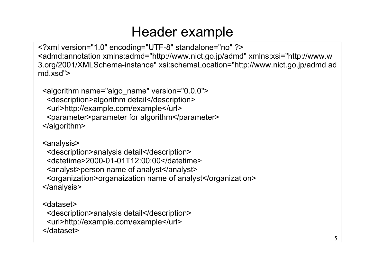#### Header example

<?xml version="1.0" encoding="UTF-8" standalone="no" ?> <admd:annotation xmlns:admd="http://www.nict.go.jp/admd" xmlns:xsi="http://www.w 3.org/2001/XMLSchema-instance" xsi:schemaLocation="http://www.nict.go.jp/admd ad md.xsd">

 <algorithm name="algo\_name" version="0.0.0"> <description>algorithm detail</description> <url>http://example.com/example</url> <parameter>parameter for algorithm</parameter> </algorithm>

 <analysis> <description>analysis detail</description> <datetime>2000-01-01T12:00:00</datetime> <analyst>person name of analyst</analyst> <organization>organaization name of analyst</organization> </analysis>

 <dataset> <description>analysis detail</description> <url>http://example.com/example</url> </dataset>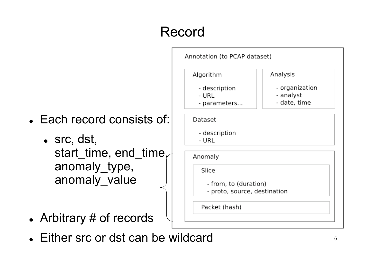# Record



- src, dst, start time, end time, anomaly\_type, anomaly value
- Arbitrary # of records



Either src or dst can be wildcard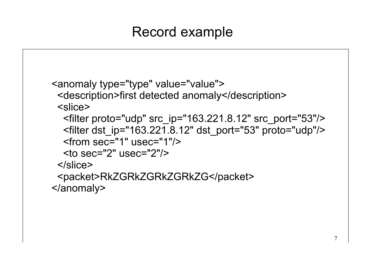### Record example

```
 <anomaly type="type" value="value">
  <description>first detected anomaly</description>
  <slice>
   <filter proto="udp" src_ip="163.221.8.12" src_port="53"/>
   <filter dst_ip="163.221.8.12" dst_port="53" proto="udp"/>
   <from sec="1" usec="1"/>
  \leq to sec="2" usec="2"/>
 \le/slice>
  <packet>RkZGRkZGRkZGRkZG</packet>
 </anomaly>
```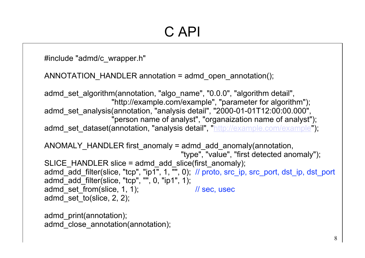#include "admd/c\_wrapper.h"

ANNOTATION\_HANDLER annotation = admd\_open\_annotation();

admd set algorithm(annotation, "algo name", "0.0.0", "algorithm detail", "http://example.com/example", "parameter for algorithm"); admd set analysis(annotation, "analysis detail", "2000-01-01T12:00:00.000", "person name of analyst", "organaization name of analyst"); admd set dataset(annotation, "analysis detail", "http://example.com/example"); ANOMALY HANDLER first anomaly = admd add anomaly(annotation, "type", "value", "first detected anomaly"); SLICE HANDLER slice = admd add slice(first anomaly); admd\_add\_filter(slice, "tcp", "ip1", 1, "", 0); // proto, src\_ip, src\_port, dst\_ip, dst\_port admd\_add\_filter(slice, "tcp", "", 0, "ip1", 1); admd\_set\_from(slice, 1, 1); // sec, usec admd set to(slice,  $2$ , 2);

admd\_print(annotation); admd close annotation(annotation);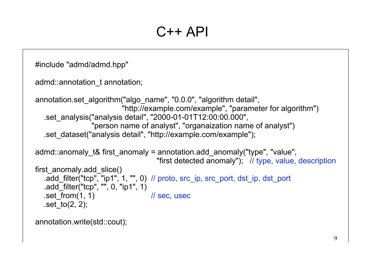#### $C++$  API

```
#include "admd/admd.hpp"
```

```
admd::annotation_t annotation;
```

```
annotation.set_algorithm("algo_name", "0.0.0", "algorithm detail",
                          "http://example.com/example", "parameter for algorithm")
   .set_analysis("analysis detail", "2000-01-01T12:00:00.000",
                 "person name of analyst", "organaization name of analyst")
   .set_dataset("analysis detail", "http://example.com/example");
```

```
admd::anomaly t& first anomaly = annotation.add anomaly("type", "value",
                                        "first detected anomaly"); // type, value, description
first anomaly.add slice()
   .add_filter("tcp", "ip1", 1, "", 0) // proto, src_ip, src_port, dst_ip, dst_port
   \cdotadd\overline{\phantom{a}}filter("tcp", "", 0, "ip1", 1)
   .set from(1, 1) \sqrt{ } // sec, usec
   .set to(2, 2);
```

```
annotation.write(std::cout);
```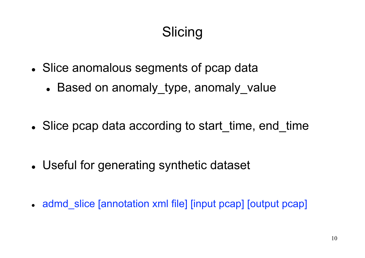### **Slicing**

- Slice anomalous segments of pcap data
	- Based on anomaly type, anomaly value
- Slice pcap data according to start time, end time
- Useful for generating synthetic dataset
- admd slice [annotation xml file] [input pcap] [output pcap]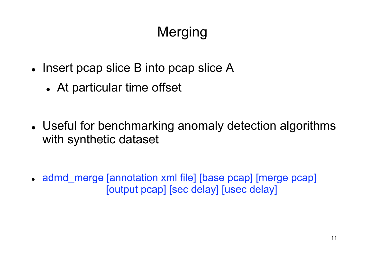# Merging

- Insert pcap slice B into pcap slice A
	- At particular time offset
- Useful for benchmarking anomaly detection algorithms with synthetic dataset

• admd merge [annotation xml file] [base pcap] [merge pcap] [output pcap] [sec delay] [usec delay]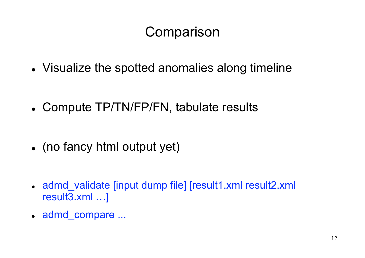### **Comparison**

- Visualize the spotted anomalies along timeline
- Compute TP/TN/FP/FN, tabulate results
- (no fancy html output yet)
- admd validate [input dump file] [result1.xml result2.xml result3.xml …]
- admd compare ...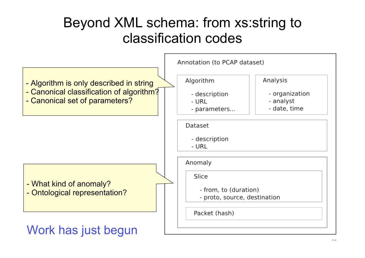#### Beyond XML schema: from xs:string to classification codes